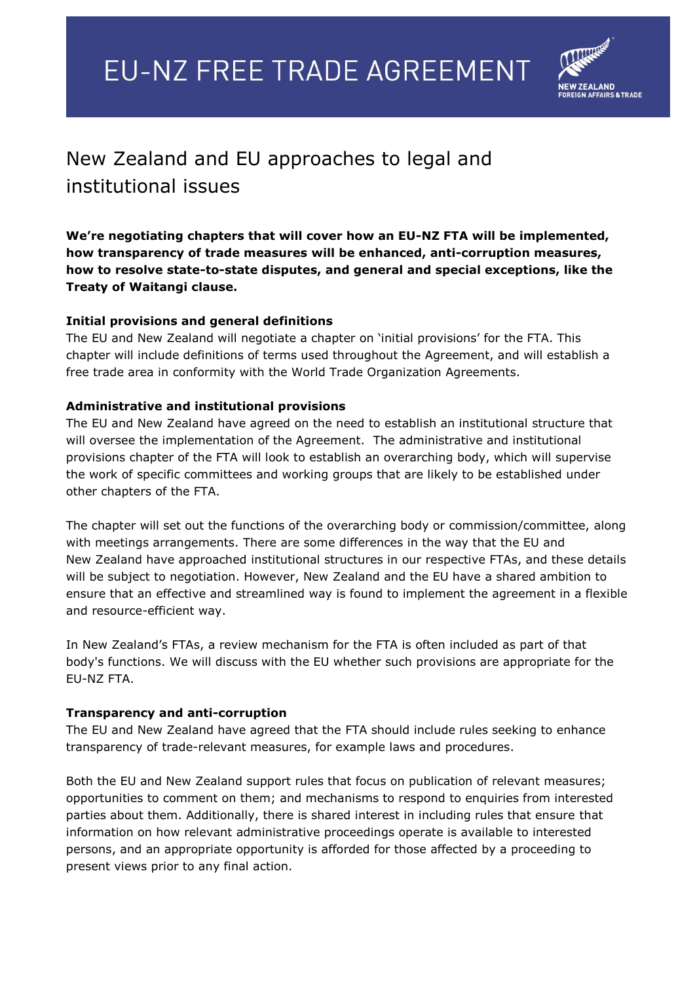# **EU-NZ FREE TRADE AGREEMENT**



## New Zealand and EU approaches to legal and institutional issues

**We're negotiating chapters that will cover how an EU-NZ FTA will be implemented, how transparency of trade measures will be enhanced, anti-corruption measures, how to resolve state-to-state disputes, and general and special exceptions, like the Treaty of Waitangi clause.**

### **Initial provisions and general definitions**

The EU and New Zealand will negotiate a chapter on 'initial provisions' for the FTA. This chapter will include definitions of terms used throughout the Agreement, and will establish a free trade area in conformity with the World Trade Organization Agreements.

#### **Administrative and institutional provisions**

The EU and New Zealand have agreed on the need to establish an institutional structure that will oversee the implementation of the Agreement. The administrative and institutional provisions chapter of the FTA will look to establish an overarching body, which will supervise the work of specific committees and working groups that are likely to be established under other chapters of the FTA.

The chapter will set out the functions of the overarching body or commission/committee, along with meetings arrangements. There are some differences in the way that the EU and New Zealand have approached institutional structures in our respective FTAs, and these details will be subject to negotiation. However, New Zealand and the EU have a shared ambition to ensure that an effective and streamlined way is found to implement the agreement in a flexible and resource-efficient way.

In New Zealand's FTAs, a review mechanism for the FTA is often included as part of that body's functions. We will discuss with the EU whether such provisions are appropriate for the EU-NZ FTA.

#### **Transparency and anti-corruption**

The EU and New Zealand have agreed that the FTA should include rules seeking to enhance transparency of trade-relevant measures, for example laws and procedures.

Both the EU and New Zealand support rules that focus on publication of relevant measures; opportunities to comment on them; and mechanisms to respond to enquiries from interested parties about them. Additionally, there is shared interest in including rules that ensure that information on how relevant administrative proceedings operate is available to interested persons, and an appropriate opportunity is afforded for those affected by a proceeding to present views prior to any final action.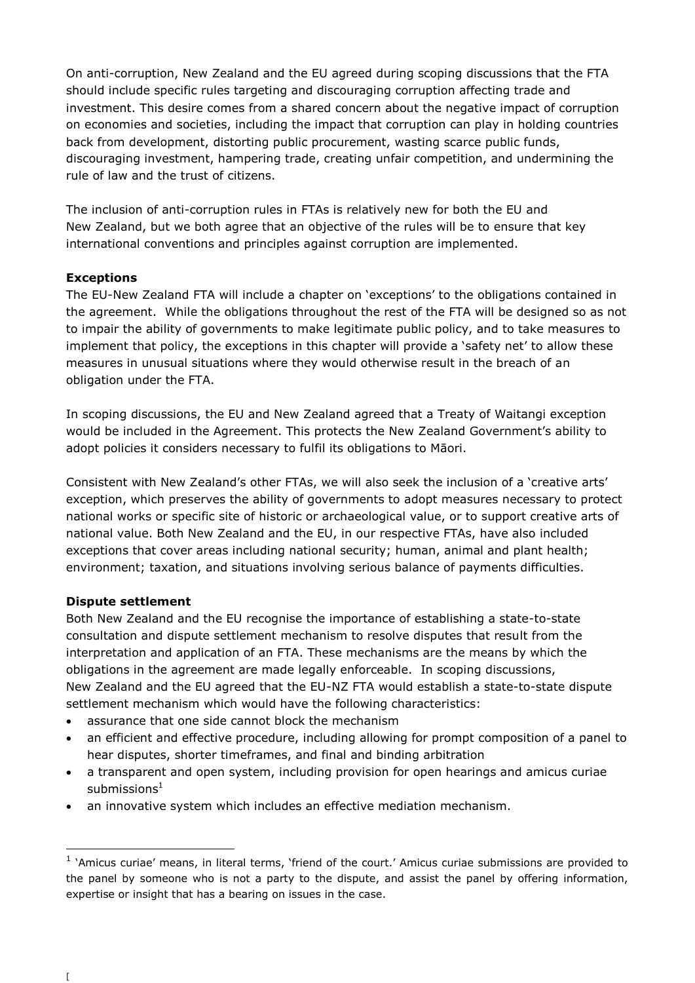On anti-corruption, New Zealand and the EU agreed during scoping discussions that the FTA should include specific rules targeting and discouraging corruption affecting trade and investment. This desire comes from a shared concern about the negative impact of corruption on economies and societies, including the impact that corruption can play in holding countries back from development, distorting public procurement, wasting scarce public funds, discouraging investment, hampering trade, creating unfair competition, and undermining the rule of law and the trust of citizens.

The inclusion of anti-corruption rules in FTAs is relatively new for both the EU and New Zealand, but we both agree that an objective of the rules will be to ensure that key international conventions and principles against corruption are implemented.

#### **Exceptions**

The EU-New Zealand FTA will include a chapter on 'exceptions' to the obligations contained in the agreement. While the obligations throughout the rest of the FTA will be designed so as not to impair the ability of governments to make legitimate public policy, and to take measures to implement that policy, the exceptions in this chapter will provide a 'safety net' to allow these measures in unusual situations where they would otherwise result in the breach of an obligation under the FTA.

In scoping discussions, the EU and New Zealand agreed that a Treaty of Waitangi exception would be included in the Agreement. This protects the New Zealand Government's ability to adopt policies it considers necessary to fulfil its obligations to Māori.

Consistent with New Zealand's other FTAs, we will also seek the inclusion of a 'creative arts' exception, which preserves the ability of governments to adopt measures necessary to protect national works or specific site of historic or archaeological value, or to support creative arts of national value. Both New Zealand and the EU, in our respective FTAs, have also included exceptions that cover areas including national security; human, animal and plant health; environment; taxation, and situations involving serious balance of payments difficulties.

#### **Dispute settlement**

Both New Zealand and the EU recognise the importance of establishing a state-to-state consultation and dispute settlement mechanism to resolve disputes that result from the interpretation and application of an FTA. These mechanisms are the means by which the obligations in the agreement are made legally enforceable. In scoping discussions, New Zealand and the EU agreed that the EU-NZ FTA would establish a state-to-state dispute settlement mechanism which would have the following characteristics:

- assurance that one side cannot block the mechanism
- an efficient and effective procedure, including allowing for prompt composition of a panel to hear disputes, shorter timeframes, and final and binding arbitration
- a transparent and open system, including provision for open hearings and amicus curiae submissions $1$
- an innovative system which includes an effective mediation mechanism.

-

<sup>&</sup>lt;sup>1</sup> 'Amicus curiae' means, in literal terms, 'friend of the court.' Amicus curiae submissions are provided to the panel by someone who is not a party to the dispute, and assist the panel by offering information, expertise or insight that has a bearing on issues in the case.